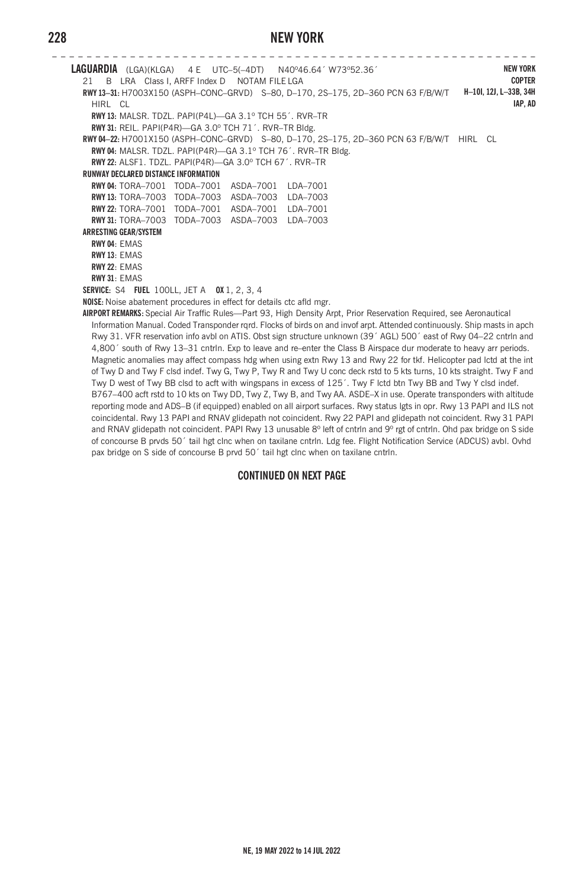# **228 NEW YORK**

**– – – – – – – – – – – – – – – – – – – – – – – – – – – – – – – – – – – – – – – – – – – – – – – – – – – – – – – – LAGUARDIA** (LGA)(KLGA) 4 E UTC–5(–4DT) N40º46.64´ W73º52.36´ 21 B LRA Class I, ARFF Index D NOTAM FILE LGA **RWY 13–31:** H7003X150 (ASPH–CONC–GRVD) S–80, D–170, 2S–175, 2D–360 PCN 63 F/B/W/T **H–10I, 12J, L–33B, 34H** HIRL CL **RWY 13:** MALSR. TDZL. PAPI(P4L)—GA 3.1º TCH 55´. RVR–TR **RWY 31:** REIL. PAPI(P4R)—GA 3.0º TCH 71´. RVR–TR Bldg. **RWY 04–22:** H7001X150 (ASPH–CONC–GRVD) S–80, D–170, 2S–175, 2D–360 PCN 63 F/B/W/T HIRL CL **RWY 04:** MALSR. TDZL. PAPI(P4R)—GA 3.1º TCH 76´. RVR–TR Bldg. **RWY 22:** ALSF1. TDZL. PAPI(P4R)—GA 3.0º TCH 67´. RVR–TR **RUNWAY DECLARED DISTANCE INFORMATION RWY 04:** TORA–7001 TODA–7001 ASDA–7001 LDA–7001 **RWY 13:** TORA–7003 TODA–7003 ASDA–7003 LDA–7003 **RWY 22:** TORA–7001 TODA–7001 ASDA–7001 LDA–7001 **RWY 31:** TORA–7003 TODA–7003 ASDA–7003 LDA–7003 **ARRESTING GEAR/SYSTEM RWY 04**: EMAS **RWY 13**: EMAS **RWY 22**: EMAS **RWY 31**: EMAS **SERVICE:** S4 **FUEL** 100LL, JET A **OX** 1, 2, 3, 4 **NOISE:** Noise abatement procedures in effect for details ctc afld mgr. **AIRPORT REMARKS:** Special Air Traffic Rules—Part 93, High Density Arpt, Prior Reservation Required, see Aeronautical Information Manual. Coded Transponder rqrd. Flocks of birds on and invof arpt. Attended continuously. Ship masts in apch Rwy 31. VFR reservation info avbl on ATIS. Obst sign structure unknown (39´ AGL) 500´ east of Rwy 04–22 cntrln and 4,800´ south of Rwy 13–31 cntrln. Exp to leave and re–enter the Class B Airspace dur moderate to heavy arr periods. Magnetic anomalies may affect compass hdg when using extn Rwy 13 and Rwy 22 for tkf. Helicopter pad lctd at the int of Twy D and Twy F clsd indef. Twy G, Twy P, Twy R and Twy U conc deck rstd to 5 kts turns, 10 kts straight. Twy F and **NEW YORK COPTER IAP, AD**

Twy D west of Twy BB clsd to acft with wingspans in excess of 125´. Twy F lctd btn Twy BB and Twy Y clsd indef. B767–400 acft rstd to 10 kts on Twy DD, Twy Z, Twy B, and Twy AA. ASDE–X in use. Operate transponders with altitude reporting mode and ADS–B (if equipped) enabled on all airport surfaces. Rwy status lgts in opr. Rwy 13 PAPI and ILS not coincidental. Rwy 13 PAPI and RNAV glidepath not coincident. Rwy 22 PAPI and glidepath not coincident. Rwy 31 PAPI and RNAV glidepath not coincident. PAPI Rwy 13 unusable 8° left of cntrln and 9° rgt of cntrln. Ohd pax bridge on S side of concourse B prvds 50´ tail hgt clnc when on taxilane cntrln. Ldg fee. Flight Notification Service (ADCUS) avbl. Ovhd pax bridge on S side of concourse B prvd 50´ tail hgt clnc when on taxilane cntrln.

#### **CONTINUED ON NEXT PAGE**